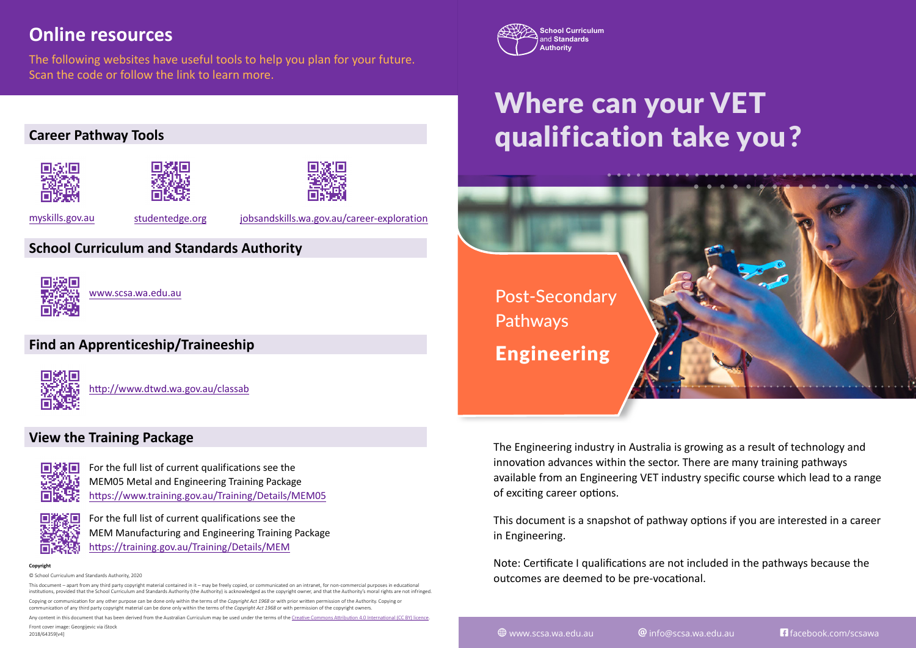## **Online resources**

The following websites have useful tools to help you plan for your future. Scan the code or follow the link to learn more.

#### **Career Pathway Tools**







[myskills.gov.au](http://myskills.gov.au) [studentedge.org](https://www.studentedge.org/)

[jobsandskills.wa.gov.au/career-explora](https://www.jobsandskills.wa.gov.au/career-exploration)tion

### **School Curriculum and Standards Authority**



[www.scsa.wa.edu.au](http://www.scsa.wa.edu.au)

#### **Find an Apprenticeship/Traineeship**



<http://www.dtwd.wa.gov.au/classab>

#### **View the Training Package**



[For the full list of current qualifications see the](https://www.training.gov.au/Training/Details/MEM05) [MEM05 Metal and Engineering Training Package](https://www.training.gov.au/Training/Details/MEM05) <https://www.training.gov.au/Training/Details/MEM05>

[For the full list of current qualifications see the](https://training.gov.au/Training/Details/MEM) [MEM Manufacturing and Engineering Training Package](https://training.gov.au/Training/Details/MEM) <https://training.gov.au/Training/Details/MEM>

**Copyright**

2018/64359[v4]

© School Curriculum and Standards Authority, 2020

This document – apart from any third party copyright material contained in it – may be freely copied, or communicated on an intranet, for non-commercial purposes in educational institutions, provided that the School Curriculum and Standards Authority (the Authority) is acknowledged as the copyright owner, and that the Authority's moral rights are not infringed. Copying or communication for any other purpose can be done only within the terms of the *Copyright Act 1968* or with prior written permission of the Authority. Copying or communication of any third party copyright material can be done only within the terms of the *Copyright Act 1968* or with permission of the copyright owners.

Any content in this document that has been derived from the Australian Curriculum may be used under the terms of the Creative Commons [Attribution 4.0 International \(CC BY\)](https://creativecommons.org/licenses/by/4.0/) licence. Front cover image: Georgijevic via iStock



# Where can your VET qualification take you?



The Engineering industry in Australia is growing as a result of technology and innovation advances within the sector. There are many training pathways available from an Engineering VET industry specific course which lead to a range of exciting career options.

This document is a snapshot of pathway options if you are interested in a career in Engineering.

Note: Certificate I qualifications are not included in the pathways because the outcomes are deemed to be pre-vocational.